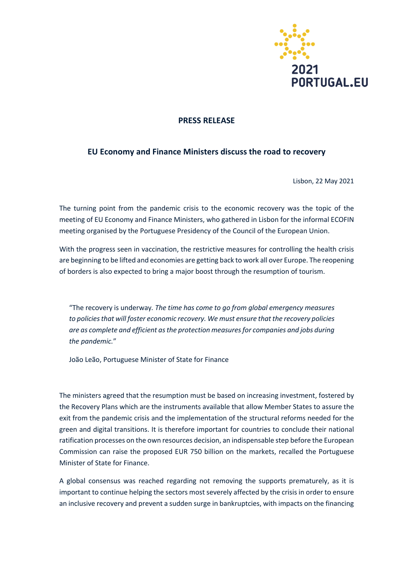

## **PRESS RELEASE**

## **EU Economy and Finance Ministers discuss the road to recovery**

Lisbon, 22 May 2021

The turning point from the pandemic crisis to the economic recovery was the topic of the meeting of EU Economy and Finance Ministers, who gathered in Lisbon for the informal ECOFIN meeting organised by the Portuguese Presidency of the Council of the European Union.

With the progress seen in vaccination, the restrictive measures for controlling the health crisis are beginning to be lifted and economies are getting back to work all over Europe. The reopening of borders is also expected to bring a major boost through the resumption of tourism.

"The recovery is underway*. The time has come to go from global emergency measures to policies that will foster economic recovery. We must ensure that the recovery policies are as complete and efficient as the protection measures for companies and jobs during the pandemic.*"

João Leão, Portuguese Minister of State for Finance

The ministers agreed that the resumption must be based on increasing investment, fostered by the Recovery Plans which are the instruments available that allow Member States to assure the exit from the pandemic crisis and the implementation of the structural reforms needed for the green and digital transitions. It is therefore important for countries to conclude their national ratification processes on the own resources decision, an indispensable step before the European Commission can raise the proposed EUR 750 billion on the markets, recalled the Portuguese Minister of State for Finance.

A global consensus was reached regarding not removing the supports prematurely, as it is important to continue helping the sectors most severely affected by the crisis in order to ensure an inclusive recovery and prevent a sudden surge in bankruptcies, with impacts on the financing